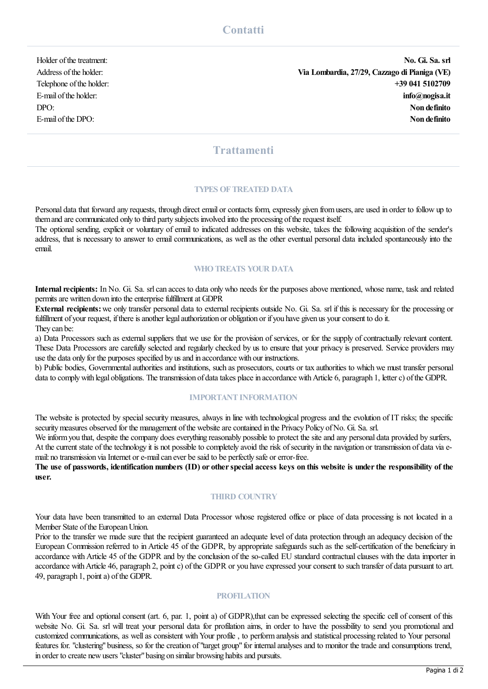Holder ofthetreatment: **No. Gi. Sa. srl** Address ofthe holder: **Via Lombardia, 27/29, Cazzago di Pianiga (VE)** Telephone ofthe holder: **+39 041 5102709** E-mail ofthe holder: **info@nogisa.it** DPO: **Non definito** E-mail ofthe DPO: **Non definito**

# **Trattamenti**

#### **TYPES OFTREATED DATA**

Personal data that forward any requests, through direct email or contacts form, expressly given fromusers,are used in order to follow up to them and are communicated only to third party subjects involved into the processing of the request itself.

The optional sending, explicit or voluntary of email to indicated addresses on this website, takes the following acquisition of the sender's address, that is necessary to answer to emailcommunications, as wellas the other eventual personal data included spontaneously into the email.

### **WHOTREATS YOUR DATA**

**Internal recipients:** In No. Gi. Sa. srl can acces to data only who needs for the purposes above mentioned, whose name, task and related permits are written down into the enterprise fulfillment at GDPR

**External recipients:**we only transfer personal data to external recipients outside No. Gi. Sa. srl if this is necessary for the processing or fulfillment of your request, if there is another legal authorization or obligation or if you have given us your consent to do it. They can be:

a) Data Processors such as external suppliers that we use for the provision of services, or for the supply of contractually relevant content. These Data Processors are carefully selected and regularly checked by us to ensure that your privacy is preserved. Service providers may use the data only for the purposes specified by us and in accordance with our instructions.

b) Public bodies, Governmental authorities and institutions, such as prosecutors, courts or tax authorities to which we must transfer personal data to comply with legal obligations. The transmission of data takes place in accordance with Article 6, paragraph 1, letter c) of the GDPR.

## **IMPORTANT INFORMATION**

The website is protected by special security measures, always in line with technological progress and the evolution of IT risks; the specific security measures observed for the management of the website are contained in the Privacy Policy of No. Gi. Sa. srl.

We inform you that, despite the company does everything reasonably possible to protect the site and any personal data provided by surfers, At the current state of the technology it is not possible to completely avoid the risk of security in the navigation or transmission of data via email: no transmission via Internet or e-mail can ever be said to be perfectly safe or error-free.

The use of passwords, identification numbers (ID) or other special access keys on this website is under the responsibility of the **user.**

# **THIRD COUNTRY**

Your data have been transmitted to an external Data Processor whose registered office or place of data processing is not located in a Member State of the European Union.

Prior to the transfer we made sure that the recipient guaranteed an adequate level of data protection through an adequacy decision of the European Commission referred to in Article 45 of the GDPR, by appropriate safeguards such as the self-certification of the beneficiary in accordance with Article 45 of the GDPR and by the conclusion of the so-called EU standard contractual clauses with the data importer in accordance with Article 46, paragraph 2, point c) of the GDPR or you have expressed your consent to such transfer of data pursuant to art. 49, paragraph 1, point a) of the GDPR.

## **PROFILATION**

With Your free and optional consent (art. 6, par. 1, point a) of GDPR), that can be expressed selecting the specific cell of consent of this website No. Gi. Sa. srl will treat your personal data for profilation aims, in order to have the possibility to send you promotional and customized communications, as wellas consistent withYour profile , to performanalysis and statistical processing related to Your personal features for. "clustering" business, so for the creation of"target group"for internalanalyses and to monitor the trade and consumptions trend, in order to create newusers"cluster"basing on similar browsing habitsand pursuits.